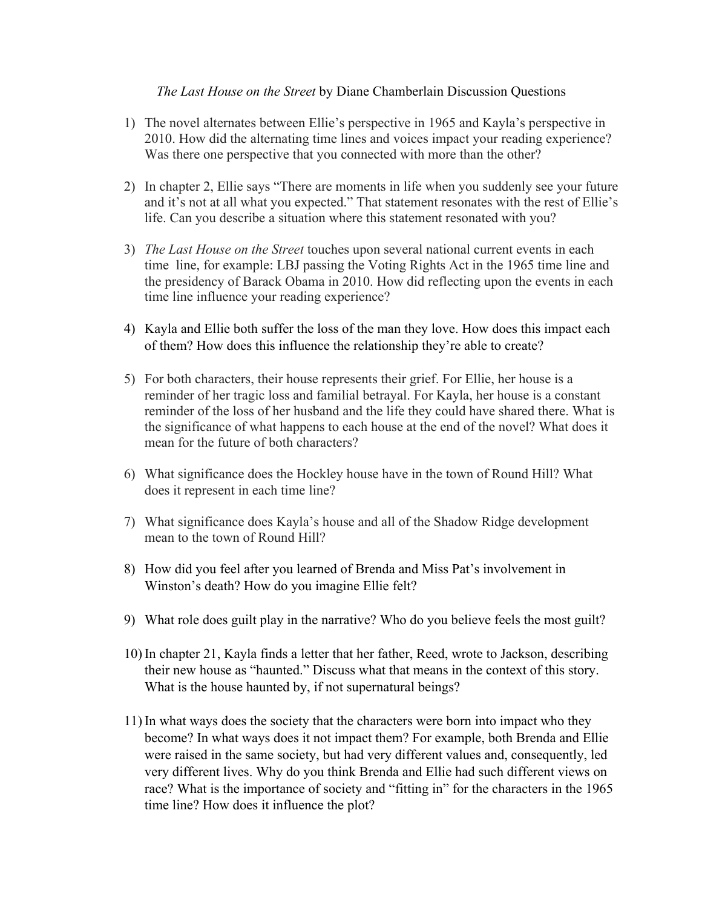## *The Last House on the Street* by Diane Chamberlain Discussion Questions

- 1) The novel alternates between Ellie's perspective in 1965 and Kayla's perspective in 2010. How did the alternating time lines and voices impact your reading experience? Was there one perspective that you connected with more than the other?
- 2) In chapter 2, Ellie says "There are moments in life when you suddenly see your future and it's not at all what you expected." That statement resonates with the rest of Ellie's life. Can you describe a situation where this statement resonated with you?
- 3) *The Last House on the Street* touches upon several national current events in each time line, for example: LBJ passing the Voting Rights Act in the 1965 time line and the presidency of Barack Obama in 2010. How did reflecting upon the events in each time line influence your reading experience?
- 4) Kayla and Ellie both suffer the loss of the man they love. How does this impact each of them? How does this influence the relationship they're able to create?
- 5) For both characters, their house represents their grief. For Ellie, her house is a reminder of her tragic loss and familial betrayal. For Kayla, her house is a constant reminder of the loss of her husband and the life they could have shared there. What is the significance of what happens to each house at the end of the novel? What does it mean for the future of both characters?
- 6) What significance does the Hockley house have in the town of Round Hill? What does it represent in each time line?
- 7) What significance does Kayla's house and all of the Shadow Ridge development mean to the town of Round Hill?
- 8) How did you feel after you learned of Brenda and Miss Pat's involvement in Winston's death? How do you imagine Ellie felt?
- 9) What role does guilt play in the narrative? Who do you believe feels the most guilt?
- 10) In chapter 21, Kayla finds a letter that her father, Reed, wrote to Jackson, describing their new house as "haunted." Discuss what that means in the context of this story. What is the house haunted by, if not supernatural beings?
- 11) In what ways does the society that the characters were born into impact who they become? In what ways does it not impact them? For example, both Brenda and Ellie were raised in the same society, but had very different values and, consequently, led very different lives. Why do you think Brenda and Ellie had such different views on race? What is the importance of society and "fitting in" for the characters in the 1965 time line? How does it influence the plot?